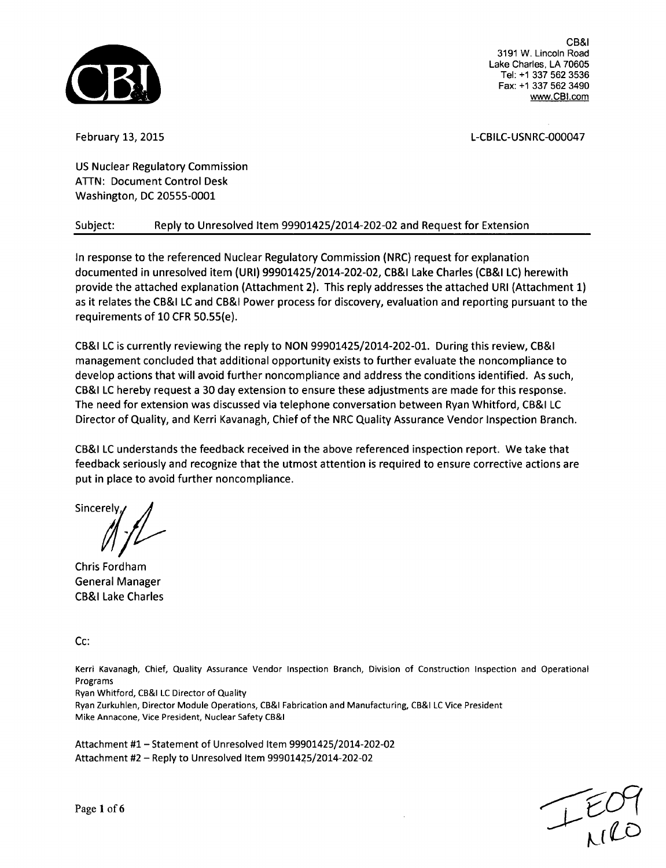

February 13, 2015 L-CBILC-USNRC-000047

US Nuclear Regulatory Commission **ATTN:** Document Control Desk Washington, DC 20555-0001

# Subject: Reply to Unresolved Item 99901425/2014-202-02 and Request for Extension

In response to the referenced Nuclear Regulatory Commission (NRC) request for explanation documented in unresolved item (URI) 99901425/2014-202-02, CB&I Lake Charles (CB&I LC) herewith provide the attached explanation (Attachment 2). This reply addresses the attached URI (Attachment 1) as it relates the CB&I LC and CB&I Power process for discovery, evaluation and reporting pursuant to the requirements of 10 CFR 50.55(e).

CB&I LC is currently reviewing the reply to NON 99901425/2014-202-01. During this review, CB&I management concluded that additional opportunity exists to further evaluate the noncompliance to develop actions that will avoid further noncompliance and address the conditions identified. As such, CB&I LC hereby request a 30 day extension to ensure these adjustments are made for this response. The need for extension was discussed via telephone conversation between Ryan Whitford, CB&I LC Director of Quality, and Kerri Kavanagh, Chief of the NRC Quality Assurance Vendor Inspection Branch.

CB&I LC understands the feedback received in the above referenced inspection report. We take that feedback seriously and recognize that the utmost attention is required to ensure corrective actions are put in place to avoid further noncompliance.

**Sincerely** 

Chris Fordham General Manager CB&I Lake Charles

Cc:

Kerri Kavanagh, Chief, Quality Assurance Vendor Inspection Branch, Division of Construction Inspection and Operational Programs

Ryan Whitford, CB&I LC Director of Quality

Ryan Zurkuhlen, Director Module Operations, CB&I Fabrication and Manufacturing, CB&I LC Vice President Mike Annacone, Vice President, Nuclear Safety CB&I

Attachment #1 - Statement of Unresolved Item 99901425/2014-202-02 Attachment #2 - Reply to Unresolved Item 99901425/2014-202-02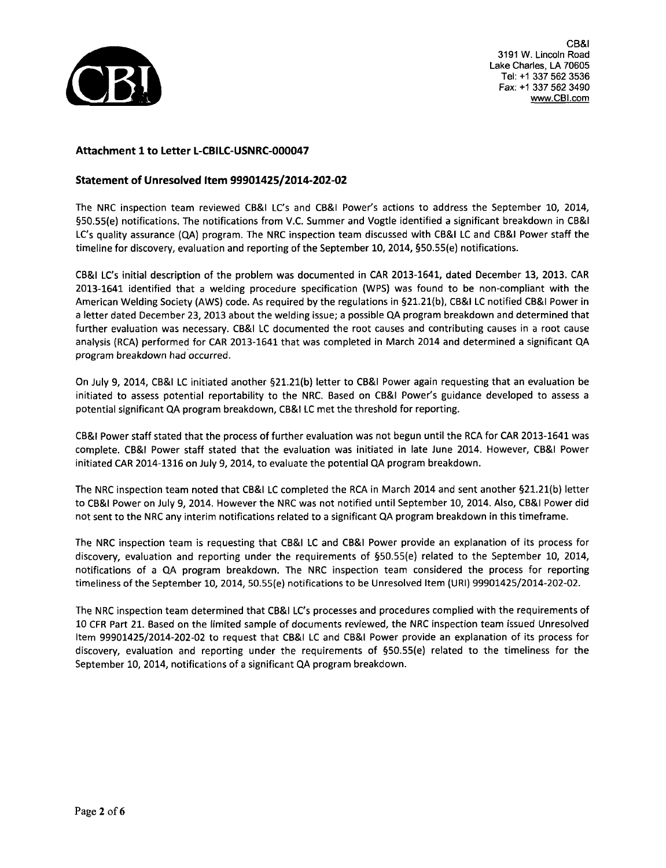

# Attachment **1** to Letter **L-CBILC-USNRC-000047**

## Statement of Unresolved Item 99901425/2014-202-02

The NRC inspection team reviewed CB&I LC's and CB&I Power's actions to address the September 10, 2014, §50.55(e) notifications. The notifications from V.C. Summer and Vogtle identified a significant breakdown in CB&I LC's quality assurance (QA) program. The NRC inspection team discussed with CB&I LC and CB&I Power staff the timeline for discovery, evaluation and reporting of the September 10, 2014, §50.55(e) notifications.

CB&I LC's initial description of the problem was documented in CAR 2013-1641, dated December 13, 2013. CAR 2013-1641 identified that a welding procedure specification (WPS) was found to be non-compliant with the American Welding Society (AWS) code. As required by the regulations in §21.21(b), CB&I **LC** notified CB&I Power in a letter dated December 23, 2013 about the welding issue; a possible QA program breakdown and determined that further evaluation was necessary. CB&I **LC** documented the root causes and contributing causes in a root cause analysis (RCA) performed for CAR 2013-1641 that was completed in March 2014 and determined a significant QA program breakdown had occurred.

On July 9, 2014, CB&I **LC** initiated another §21.21(b) letter to CB&I Power again requesting that an evaluation be initiated to assess potential reportability to the NRC. Based on CB&I Power's guidance developed to assess a potential significant OQA program breakdown, CB&I **LC** met the threshold for reporting.

CB&I Power staff stated that the process of further evaluation was not begun until the RCA for CAR 2013-1641 was complete. CB&I Power staff stated that the evaluation was initiated in late June 2014. However, CB&I Power initiated CAR 2014-1316 on July 9, 2014, to evaluate the potential QA program breakdown.

The NRC inspection team noted that CB&I **LC** completed the RCA in March 2014 and sent another §21.21(b) letter to CB&I Power on July 9, 2014. However the NRC was not notified until September 10, 2014. Also, CB&I Power did not sent to the NRC any interim notifications related to a significant QA program breakdown in this timeframe.

The NRC inspection team is requesting that CB&I **LC** and CB&I Power provide an explanation of its process for discovery, evaluation and reporting under the requirements of §50.55(e) related to the September 10, 2014, notifications of a QA program breakdown. The NRC inspection team considered the process for reporting timeliness of the September 10, 2014, 50.55(e) notifications to be Unresolved Item (URI) 99901425/2014-202-02.

The NRC inspection team determined that CB&I LC's processes and procedures complied with the requirements of 10 CFR Part 21. Based on the limited sample of documents reviewed, the NRC inspection team issued Unresolved Item 99901425/2014-202-02 to request that CB&I **LC** and CB&I Power provide an explanation of its process for discovery, evaluation and reporting under the requirements of §50.55(e) related to the timeliness for the September 10, 2014, notifications of a significant QA program breakdown.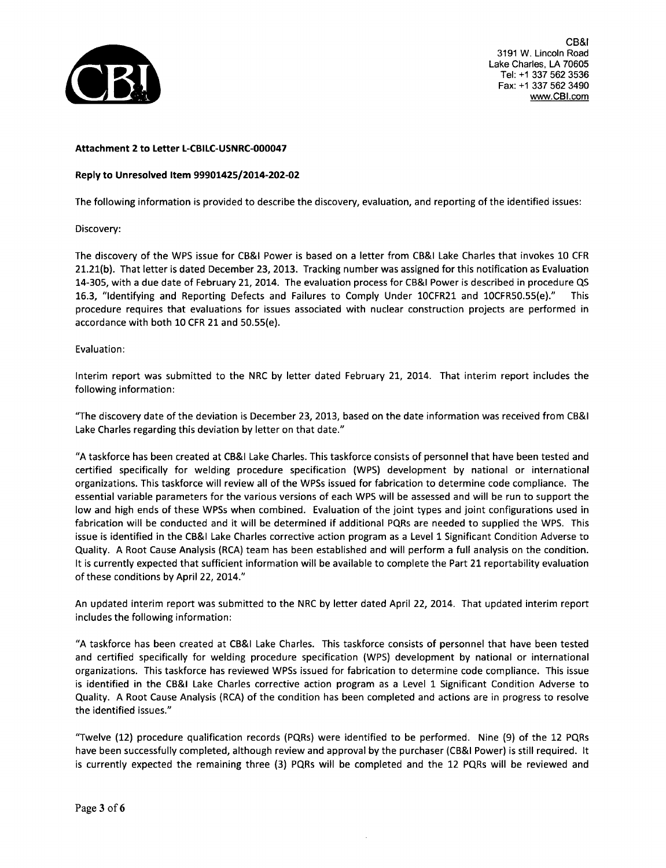

### Attachment 2 to Letter **L-CBILC-USNRC-000047**

### Reply to Unresolved Item 99901425/2014-202-02

The following information is provided to describe the discovery, evaluation, and reporting of the identified issues:

Discovery:

The discovery of the WPS issue for CB&I Power is based on a letter from CB&I Lake Charles that invokes **10** CFR 21.21(b). That letter is dated December 23, 2013. Tracking number was assigned for this notification as Evaluation 14-305, with a due date of February 21, 2014. The evaluation process for CB&I Power is described in procedure **QS** 16.3, "Identifying and Reporting Defects and Failures to Comply Under 10CFR21 and 10CFR50.55(e)." This procedure requires that evaluations for issues associated with nuclear construction projects are performed in accordance with both 10 CFR 21 and 50.55(e).

#### Evaluation:

Interim report was submitted to the NRC by letter dated February 21, 2014. That interim report includes the following information:

"The discovery date of the deviation is December 23, 2013, based on the date information was received from CB&I Lake Charles regarding this deviation by letter on that date."

"A taskforce has been created at CB&I Lake Charles. This taskforce consists of personnel that have been tested and certified specifically for welding procedure specification (WPS) development by national or international organizations. This taskforce will review all of the WPSs issued for fabrication to determine code compliance. The essential variable parameters for the various versions of each WPS will be assessed and will be run to support the low and high ends of these WPSs when combined. Evaluation of the joint types and joint configurations used in fabrication will be conducted and it will be determined if additional PQRs are needed to supplied the WPS. This issue is identified in the CB&I Lake Charles corrective action program as a Level 1 Significant Condition Adverse to Quality. A Root Cause Analysis (RCA) team has been established and will perform a full analysis on the condition. It is currently expected that sufficient information will be available to complete the Part 21 reportability evaluation of these conditions by April 22, 2014."

An updated interim report was submitted to the NRC by letter dated April 22, 2014. That updated interim report includes the following information:

"A taskforce has been created at CB&I Lake Charles. This taskforce consists of personnel that have been tested and certified specifically for welding procedure specification (WPS) development by national or international organizations. This taskforce has reviewed WPSs issued for fabrication to determine code compliance. This issue is identified in the CB&I Lake Charles corrective action program as a Level 1 Significant Condition Adverse to Quality. A Root Cause Analysis (RCA) of the condition has been completed and actions are in progress to resolve the identified issues."

"Twelve (12) procedure qualification records (PQRs) were identified to be performed. Nine (9) of the 12 PQRs have been successfully completed, although review and approval by the purchaser (CB&I Power) is still required. It is currently expected the remaining three (3) PQRs will be completed and the 12 PQRs will be reviewed and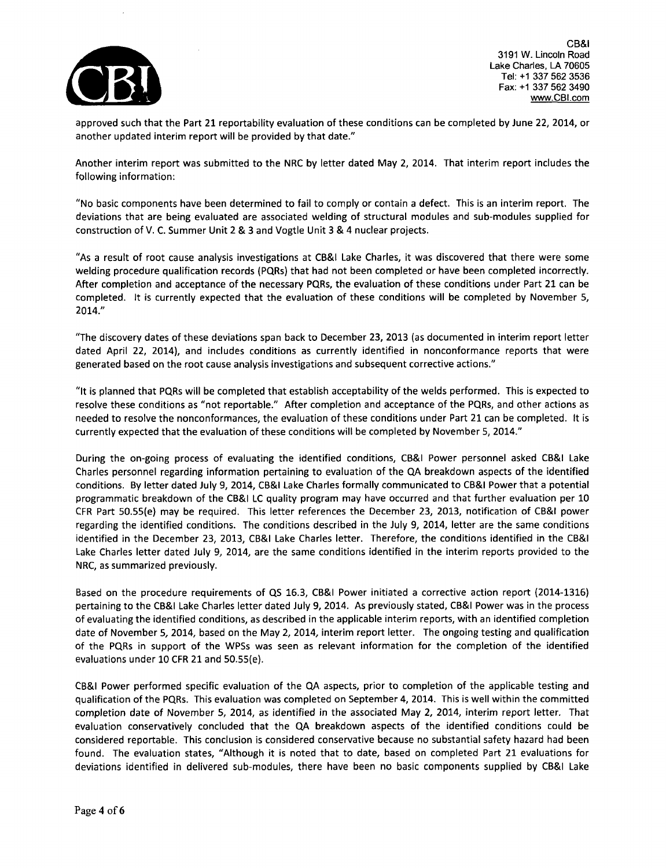

approved such that the Part 21 reportability evaluation of these conditions can be completed by June 22, 2014, or another updated interim report will be provided by that date."

Another interim report was submitted to the NRC by letter dated May 2, 2014. That interim report includes the following information:

"No basic components have been determined to fail to comply or contain a defect. This is an interim report. The deviations that are being evaluated are associated welding of structural modules and sub-modules supplied for construction of V. C. Summer Unit 2 & 3 and Vogtle Unit 3 & 4 nuclear projects.

"As a result of root cause analysis investigations at CB&I Lake Charles, it was discovered that there were some welding procedure qualification records (PQRs) that had not been completed or have been completed incorrectly. After completion and acceptance of the necessary PQRs, the evaluation of these conditions under Part 21 can be completed. It is currently expected that the evaluation of these conditions will be completed by November 5, 2014."

"The discovery dates of these deviations span back to December 23, 2013 (as documented in interim report letter dated April 22, 2014), and includes conditions as currently identified in nonconformance reports that were generated based on the root cause analysis investigations and subsequent corrective actions."

"It is planned that PORs will be completed that establish acceptability of the welds performed. This is expected to resolve these conditions as "not reportable." After completion and acceptance of the PQRs, and other actions as needed to resolve the nonconformances, the evaluation of these conditions under Part 21 can be completed. It is currently expected that the evaluation of these conditions will be completed by November 5, 2014."

During the on-going process of evaluating the identified conditions, CB&I Power personnel asked CB&I Lake Charles personnel regarding information pertaining to evaluation of the QA breakdown aspects of the identified conditions. By letter dated July 9, 2014, CB&I Lake Charles formally communicated to CB&I Power that a potential programmatic breakdown of the CB&I LC quality program may have occurred and that further evaluation per 10 CFR Part 50.55(e) may be required. This letter references the December 23, 2013, notification of CB&I power regarding the identified conditions. The conditions described in the July 9, 2014, letter are the same conditions identified in the December 23, 2013, CB&I Lake Charles letter. Therefore, the conditions identified in the CB&I Lake Charles letter dated July 9, 2014, are the same conditions identified in the interim reports provided to the NRC, as summarized previously.

Based on the procedure requirements of **QS** 16.3, CB&I Power initiated a corrective action report (2014-1316) pertaining to the CB&I Lake Charles letter dated July 9, 2014. As previously stated, CB&I Power was in the process of evaluating the identified conditions, as described in the applicable interim reports, with an identified completion date of November 5, 2014, based on the May 2, 2014, interim report letter. The ongoing testing and qualification of the PQRs in support of the WPSs was seen as relevant information for the completion of the identified evaluations under 10 CFR 21 and 50.55(e).

CB&I Power performed specific evaluation of the QA aspects, prior to completion of the applicable testing and qualification of the PQRs. This evaluation was completed on September 4, 2014. This is well within the committed completion date of November 5, 2014, as identified in the associated May 2, 2014, interim report letter. That evaluation conservatively concluded that the QA breakdown aspects of the identified conditions could be considered reportable. This conclusion is considered conservative because no substantial safety hazard had been found. The evaluation states, "Although it is noted that to date, based on completed Part 21 evaluations for deviations identified in delivered sub-modules, there have been no basic components supplied by CB&I Lake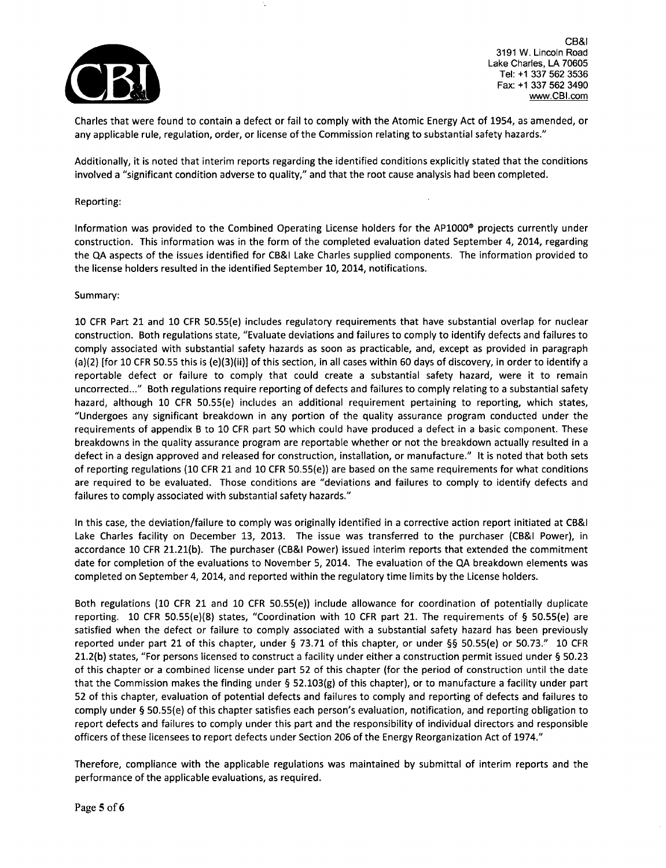

Charles that were found to contain a defect or fail to comply with the Atomic Energy Act of 1954, as amended, or any applicable rule, regulation, order, or license of the Commission relating to substantial safety hazards."

Additionally, it is noted that interim reports regarding the identified conditions explicitly stated that the conditions involved a "significant condition adverse to quality," and that the root cause analysis had been completed.

#### Reporting:

Information was provided to the Combined Operating License holders for the AP1000® projects currently under construction. This information was in the form of the completed evaluation dated September 4, 2014, regarding the QA aspects of the issues identified for CB&I Lake Charles supplied components. The information provided to the license holders resulted in the identified September 10, 2014, notifications.

### Summary:

10 CFR Part 21 and 10 CFR 50.55(e) includes regulatory requirements that have substantial overlap for nuclear construction. Both regulations state, "Evaluate deviations and failures to comply to identify defects and failures to comply associated with substantial safety hazards as soon as practicable, and, except as provided in paragraph (a)(2) [for 10 CFR 50.55 this is (e)(3)(ii)] of this section, in all cases within 60 days of discovery, in order to identify a reportable defect or failure to comply that could create a substantial safety hazard, were it to remain uncorrected..." Both regulations require reporting of defects and failures to comply relating to a substantial safety hazard, although 10 CFR 50.55(e) includes an additional requirement pertaining to reporting, which states, "Undergoes any significant breakdown in any portion of the quality assurance program conducted under the requirements of appendix B to 10 CFR part 50 which could have produced a defect in a basic component. These breakdowns in the quality assurance program are reportable whether or not the breakdown actually resulted in a defect in a design approved and released for construction, installation, or manufacture." It is noted that both sets of reporting regulations (10 CFR 21 and 10 CFR 50.55(e)) are based on the same requirements for what conditions are required to be evaluated. Those conditions are "deviations and failures to comply to identify defects and failures to comply associated with substantial safety hazards."

In this case, the deviation/failure to comply was originally identified in a corrective action report initiated at CB&I Lake Charles facility on December 13, 2013. The issue was transferred to the purchaser (CB&I Power), in accordance 10 CFR 21.21(b). The purchaser (CB&I Power) issued interim reports that extended the commitment date for completion of the evaluations to November 5, 2014. The evaluation of the QA breakdown elements was completed on September 4, 2014, and reported within the regulatory time limits by the License holders.

Both regulations (10 CFR 21 and 10 CFR 50.55(e)) include allowance for coordination of potentially duplicate reporting. 10 CFR 50.55(e)(8) states, "Coordination with 10 CFR part 21. The requirements of § 50.55(e) are satisfied when the defect or failure to comply associated with a substantial safety hazard has been previously reported under part 21 of this chapter, under § 73.71 of this chapter, or under §§ 50.55(e) or 50.73." **10** CFR 21.2(b) states, "For persons licensed to construct a facility under either a construction permit issued under § 50.23 of this chapter or a combined license under part 52 of this chapter (for the period of construction until the date that the Commission makes the finding under § 52.103(g) of this chapter), or to manufacture a facility under part 52 of this chapter, evaluation of potential defects and failures to comply and reporting of defects and failures to comply under § 50.55(e) of this chapter satisfies each person's evaluation, notification, and reporting obligation to report defects and failures to comply under this part and the responsibility of individual directors and responsible officers of these licensees to report defects under Section 206 of the Energy Reorganization Act of 1974."

Therefore, compliance with the applicable regulations was maintained by submittal of interim reports and the performance of the applicable evaluations, as required.